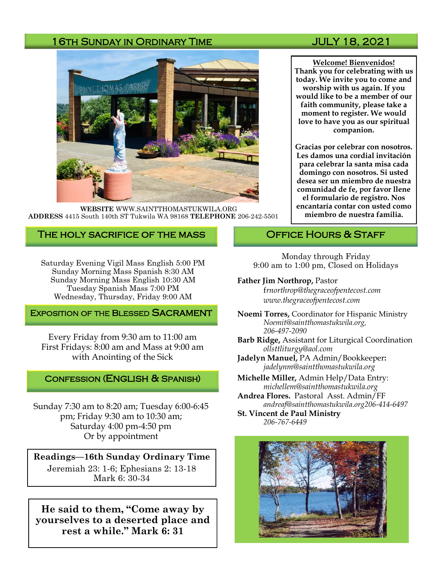### 16TH SUNDAY IN ORDINARY TIME JULY 18, 2021



**WEBSITE** WWW.SAINTTHOMASTUKWILA.ORG **ADDRESS** 4415 South 140th ST Tukwila WA 98168 **TELEPHONE** 206-242-5501

### The holy sacrifice of the mass

Saturday Evening Vigil Mass English 5:00 PM Sunday Morning Mass Spanish 8:30 AM Sunday Morning Mass English 10:30 AM Tuesday Spanish Mass 7:00 PM Wednesday, Thursday, Friday 9:00 AM

#### **EXPOSITION OF THE BLESSED SACRAMENT**

Every Friday from 9:30 am to 11:00 am First Fridays: 8:00 am and Mass at 9:00 am with Anointing of the Sick

#### Confession (English & Spanish)

Sunday 7:30 am to 8:20 am; Tuesday 6:00-6:45 pm; Friday 9:30 am to 10:30 am; Saturday 4:00 pm-4:50 pm Or by appointment

**Readings—16th Sunday Ordinary Time** Jeremiah 23: 1-6; Ephesians 2: 13-18 Mark 6: 30-34

**He said to them, "Come away by yourselves to a deserted place and rest a while." Mark 6: 31**

**Welcome! Bienvenidos! Thank you for celebrating with us today. We invite you to come and worship with us again. If you would like to be a member of our faith community, please take a moment to register. We would love to have you as our spiritual companion.** 

**Gracias por celebrar con nosotros. Les damos una cordial invitación para celebrar la santa misa cada domingo con nosotros. Si usted desea ser un miembro de nuestra comunidad de fe, por favor llene el formulario de registro. Nos encantaría contar con usted como miembro de nuestra familia.**

#### OFFICE HOURS & STAFF

Monday through Friday 9:00 am to 1:00 pm, Closed on Holidays

#### **Father Jim Northrop,** Pastor

f*rnorthrop@thegraceofpentecost.com www.thegraceofpentecost.com* 

- **Noemi Torres,** Coordinator for Hispanic Ministry *Noemit@saintthomastukwila.org, 206-497-2090*
- **Barb Ridge,** Assistant for Liturgical Coordination *ollsttliturgy@aol.com*
- **Jadelyn Manuel,** PA Admin/Bookkeeper**:**  *jadelynm@saintthomastukwila.org*
- **Michelle Miller,** Admin Help/Data Entry: *michellem@saintthomastukwila.org*
- **Andrea Flores.** Pastoral Asst. Admin/FF *andreaf@saintthomastukwila.org206-414-6497*

**St. Vincent de Paul Ministry** *206-767-6449*

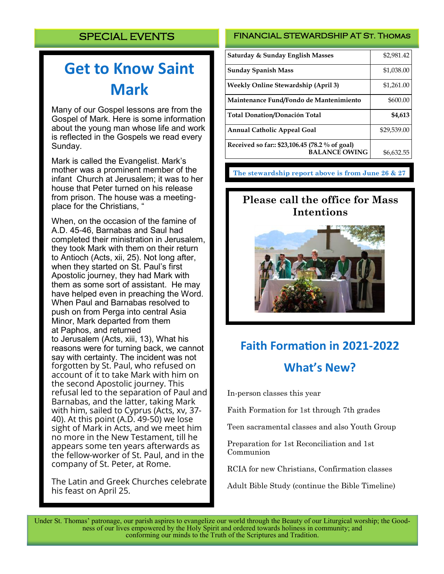# **Get to Know Saint Mark**

Many of our Gospel lessons are from the Gospel of Mark. Here is some information about the young man whose life and work is reflected in the Gospels we read every Sunday.

Mark is called the Evangelist. Mark's mother was a prominent member of the infant [Church](https://www.catholic.com/encyclopedia/church-the) at [Jerusalem;](https://www.catholic.com/encyclopedia/jerusalem) it was to her house that Peter turned on his release from prison. The house was a meetingplace for the Christians, "

When, on the occasion of the famine of A.D. 45-46, Barnabas and Saul had completed their ministration in Jerusalem, they took Mark with them on their return to [Antioch](https://www.catholic.com/encyclopedia/antioch) (Acts, xii, 25). Not long after, when they started on St. Paul's first Apostolic journey, they had Mark with them as some sort of assistant. He may have helped even in preaching the Word. When Paul and Barnabas resolved to push on from Perga into central Asia [Minor,](https://www.catholic.com/encyclopedia/asia-minor) Mark departed from them at [Paphos,](https://www.catholic.com/encyclopedia/paphos) and returned to [Jerusalem](https://www.catholic.com/encyclopedia/jerusalem) (Acts, xiii, 13), What his reasons were for turning back, we cannot say with certainty. The incident was not forgotten by St. Paul, who refused on account of it to take Mark with him on the second Apostolic journey. This refusal led to the separation of Paul and Barnabas, and the latter, taking Mark with him, sailed to Cyprus (Acts, xv, 37-40). At this point (A.D. 49-50) we lose sight of Mark in Acts, and we meet him no more in the [New Testament,](https://www.catholic.com/encyclopedia/new-testament) till he appears some ten years afterwards as the fellow-worker of St. Paul, and in the company of St. Peter, at Rome.

The Latin and Greek Churches celebrate his feast on April 25.

#### FINANCIAL STEWARDSHIP AT St. Thomas

| <b>Saturday &amp; Sunday English Masses</b>                            | \$2,981.42  |
|------------------------------------------------------------------------|-------------|
| <b>Sunday Spanish Mass</b>                                             | \$1,038.00  |
| <b>Weekly Online Stewardship (April 3)</b>                             | \$1,261.00  |
| Maintenance Fund/Fondo de Mantenimiento                                | \$600.00    |
| <b>Total Donation/Donación Total</b>                                   | \$4,613     |
| <b>Annual Catholic Appeal Goal</b>                                     | \$29,539.00 |
| Received so far:: \$23,106.45 (78.2 % of goal)<br><b>BALANCE OWING</b> | \$6,632.55  |

**The stewardship report above is from June 26 & 27**

# **Please call the office for Mass Intentions**



# **Faith Formation in 2021-2022 What's New?**

In-person classes this year

Faith Formation for 1st through 7th grades

Teen sacramental classes and also Youth Group

Preparation for 1st Reconciliation and 1st Communion

RCIA for new Christians, Confirmation classes

Adult Bible Study (continue the Bible Timeline)

Under St. Thomas' patronage, our parish aspires to evangelize our world through the Beauty of our Liturgical worship; the Goodness of our lives empowered by the Holy Spirit and ordered towards holiness in community; and conforming our minds to the Truth of the Scriptures and Tradition.